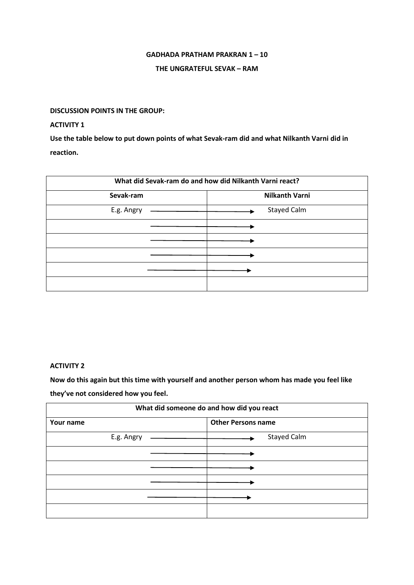### **GADHADA PRATHAM PRAKRAN 1 – 10**

### **THE UNGRATEFUL SEVAK – RAM**

## **DISCUSSION POINTS IN THE GROUP:**

# **ACTIVITY 1**

**Use the table below to put down points of what Sevak-ram did and what Nilkanth Varni did in reaction.**

| What did Sevak-ram do and how did Nilkanth Varni react? |                       |
|---------------------------------------------------------|-----------------------|
| Sevak-ram                                               | <b>Nilkanth Varni</b> |
| E.g. Angry                                              | <b>Stayed Calm</b>    |
|                                                         |                       |
|                                                         |                       |
|                                                         |                       |
|                                                         |                       |
|                                                         |                       |

### **ACTIVITY 2**

**Now do this again but this time with yourself and another person whom has made you feel like they've not considered how you feel.**

| What did someone do and how did you react |                           |
|-------------------------------------------|---------------------------|
| Your name                                 | <b>Other Persons name</b> |
| E.g. Angry                                | Stayed Calm               |
|                                           |                           |
|                                           |                           |
|                                           |                           |
|                                           |                           |
|                                           |                           |